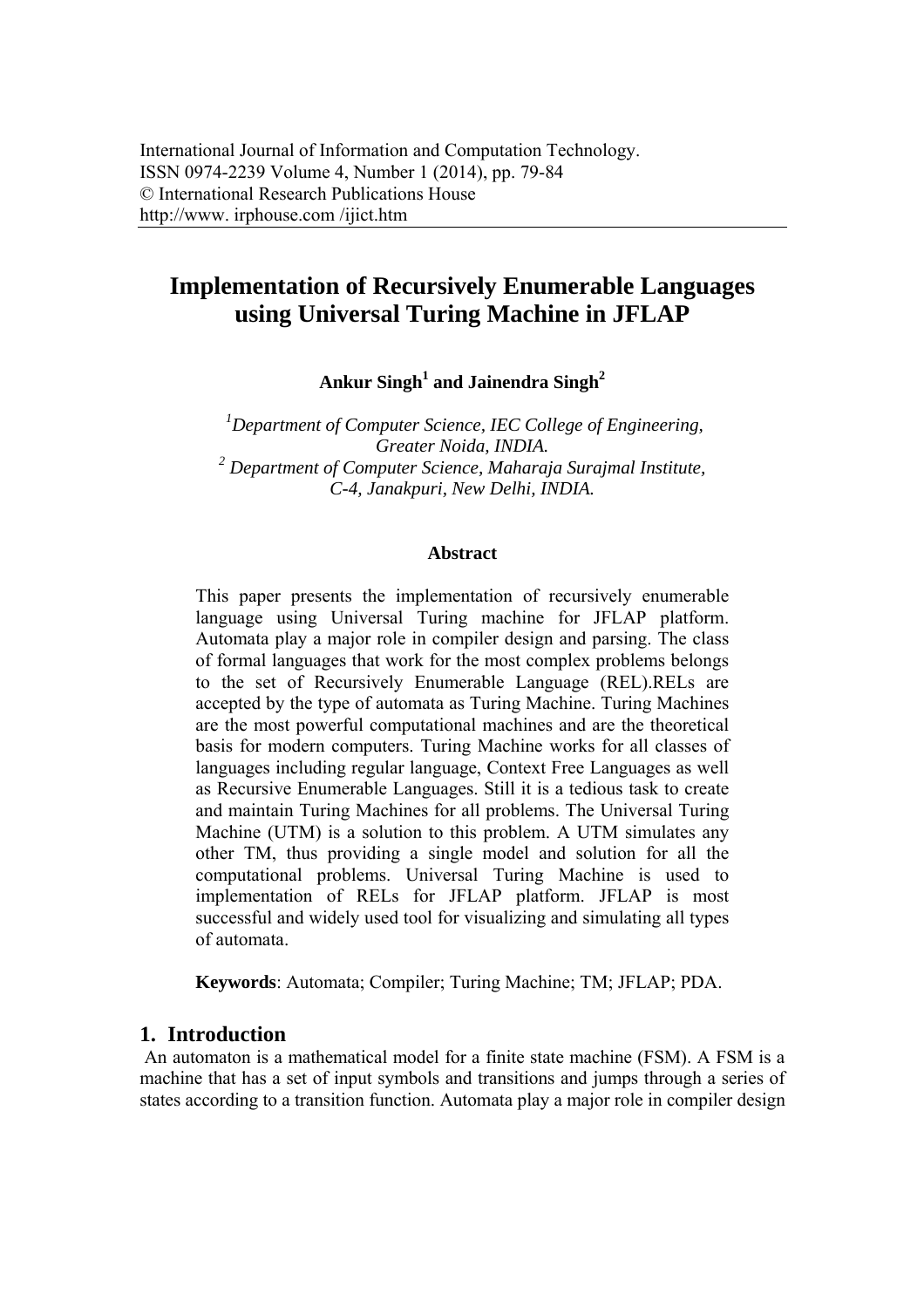# **Implementation of Recursively Enumerable Languages using Universal Turing Machine in JFLAP**

Ankur Singh<sup>1</sup> and Jainendra Singh<sup>2</sup>

*1 Department of Computer Science, IEC College of Engineering, Greater Noida, INDIA. 2 Department of Computer Science, Maharaja Surajmal Institute, C-4, Janakpuri, New Delhi, INDIA.* 

#### **Abstract**

This paper presents the implementation of recursively enumerable language using Universal Turing machine for JFLAP platform. Automata play a major role in compiler design and parsing. The class of formal languages that work for the most complex problems belongs to the set of Recursively Enumerable Language (REL).RELs are accepted by the type of automata as Turing Machine. Turing Machines are the most powerful computational machines and are the theoretical basis for modern computers. Turing Machine works for all classes of languages including regular language, Context Free Languages as well as Recursive Enumerable Languages. Still it is a tedious task to create and maintain Turing Machines for all problems. The Universal Turing Machine (UTM) is a solution to this problem. A UTM simulates any other TM, thus providing a single model and solution for all the computational problems. Universal Turing Machine is used to implementation of RELs for JFLAP platform. JFLAP is most successful and widely used tool for visualizing and simulating all types of automata.

**Keywords**: Automata; Compiler; Turing Machine; TM; JFLAP; PDA.

#### **1. Introduction**

 An automaton is a mathematical model for a finite state machine (FSM). A FSM is a machine that has a set of input symbols and transitions and jumps through a series of states according to a transition function. Automata play a major role in compiler design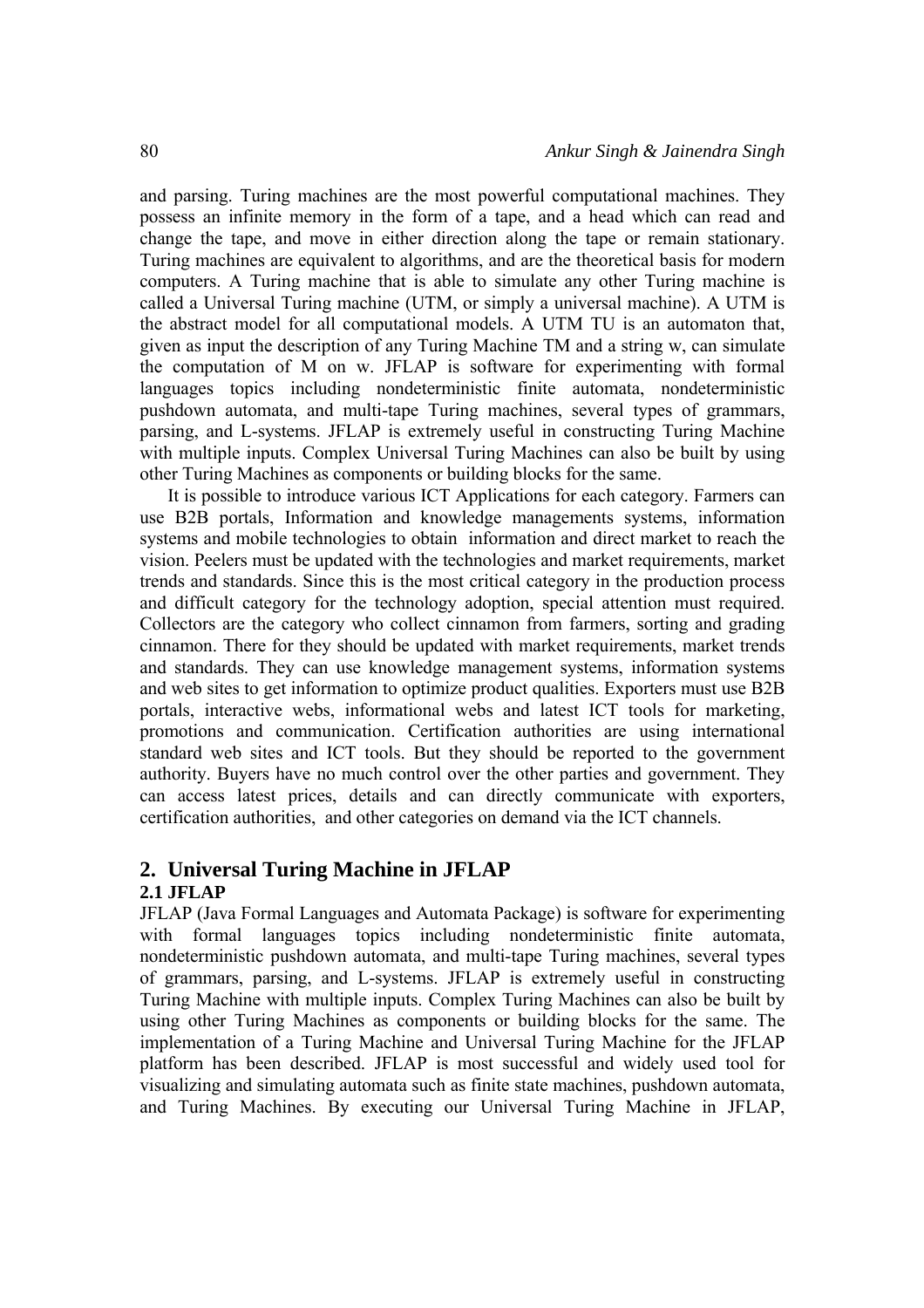and parsing. Turing machines are the most powerful computational machines. They possess an infinite memory in the form of a tape, and a head which can read and change the tape, and move in either direction along the tape or remain stationary. Turing machines are equivalent to algorithms, and are the theoretical basis for modern computers. A Turing machine that is able to simulate any other Turing machine is called a Universal Turing machine (UTM, or simply a universal machine). A UTM is the abstract model for all computational models. A UTM TU is an automaton that, given as input the description of any Turing Machine TM and a string w, can simulate the computation of M on w. JFLAP is software for experimenting with formal languages topics including nondeterministic finite automata, nondeterministic pushdown automata, and multi-tape Turing machines, several types of grammars, parsing, and L-systems. JFLAP is extremely useful in constructing Turing Machine with multiple inputs. Complex Universal Turing Machines can also be built by using other Turing Machines as components or building blocks for the same.

It is possible to introduce various ICT Applications for each category. Farmers can use B2B portals, Information and knowledge managements systems, information systems and mobile technologies to obtain information and direct market to reach the vision. Peelers must be updated with the technologies and market requirements, market trends and standards. Since this is the most critical category in the production process and difficult category for the technology adoption, special attention must required. Collectors are the category who collect cinnamon from farmers, sorting and grading cinnamon. There for they should be updated with market requirements, market trends and standards. They can use knowledge management systems, information systems and web sites to get information to optimize product qualities. Exporters must use B2B portals, interactive webs, informational webs and latest ICT tools for marketing, promotions and communication. Certification authorities are using international standard web sites and ICT tools. But they should be reported to the government authority. Buyers have no much control over the other parties and government. They can access latest prices, details and can directly communicate with exporters, certification authorities, and other categories on demand via the ICT channels.

# **2. Universal Turing Machine in JFLAP**

# **2.1 JFLAP**

JFLAP (Java Formal Languages and Automata Package) is software for experimenting with formal languages topics including nondeterministic finite automata, nondeterministic pushdown automata, and multi-tape Turing machines, several types of grammars, parsing, and L-systems. JFLAP is extremely useful in constructing Turing Machine with multiple inputs. Complex Turing Machines can also be built by using other Turing Machines as components or building blocks for the same. The implementation of a Turing Machine and Universal Turing Machine for the JFLAP platform has been described. JFLAP is most successful and widely used tool for visualizing and simulating automata such as finite state machines, pushdown automata, and Turing Machines. By executing our Universal Turing Machine in JFLAP,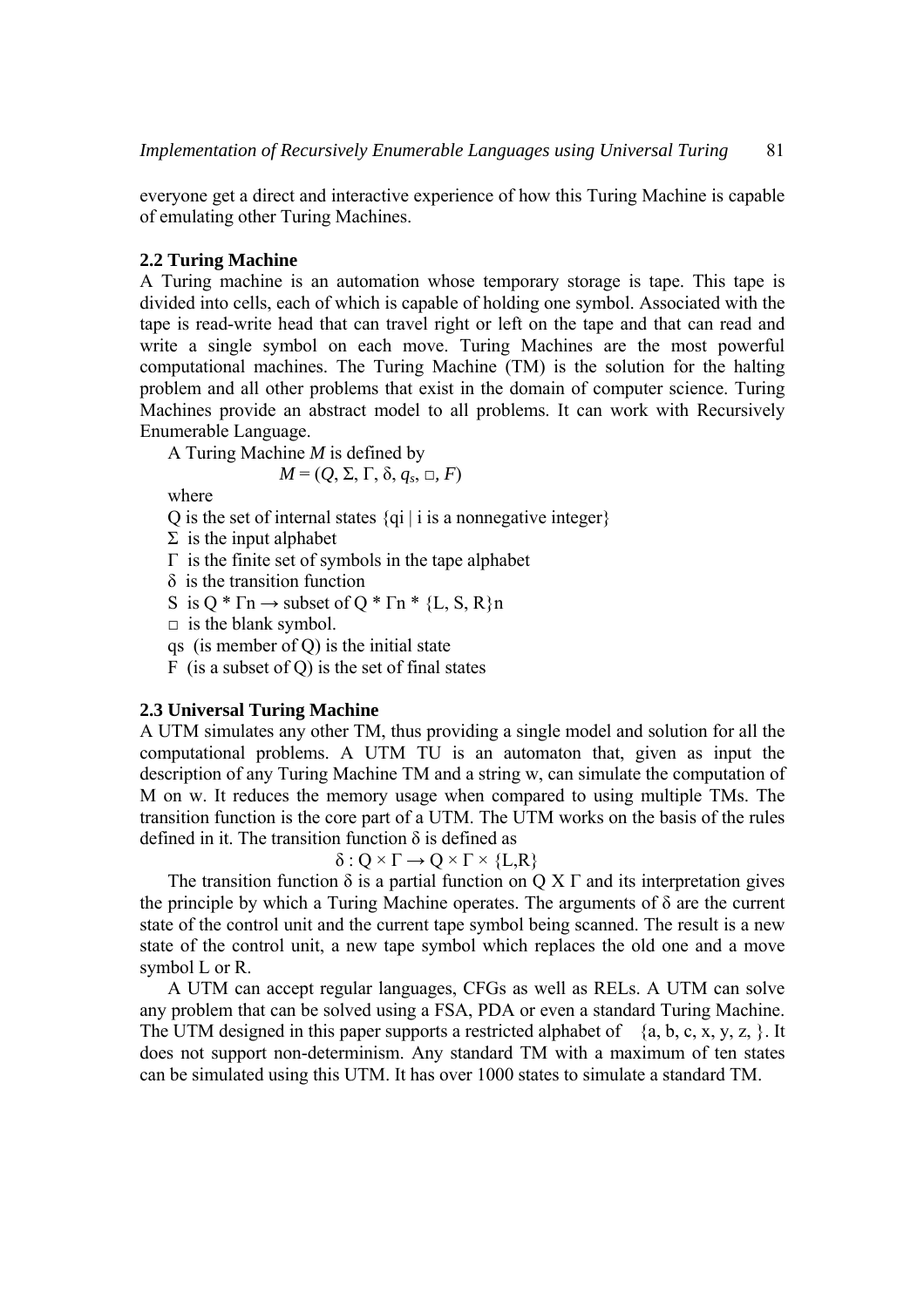everyone get a direct and interactive experience of how this Turing Machine is capable of emulating other Turing Machines.

### **2.2 Turing Machine**

A Turing machine is an automation whose temporary storage is tape. This tape is divided into cells, each of which is capable of holding one symbol. Associated with the tape is read-write head that can travel right or left on the tape and that can read and write a single symbol on each move. Turing Machines are the most powerful computational machines. The Turing Machine (TM) is the solution for the halting problem and all other problems that exist in the domain of computer science. Turing Machines provide an abstract model to all problems. It can work with Recursively Enumerable Language.

A Turing Machine *M* is defined by

 $M = (Q, \Sigma, \Gamma, \delta, q_s, \Box, F)$ 

where

Q is the set of internal states  $\{qi \mid i \text{ is a nonnegative integer}\}\$ 

 $\Sigma$  is the input alphabet

- $Γ$  is the finite set of symbols in the tape alphabet
- δ is the transition function
- S is  $Q^* \Gamma n \rightarrow$  subset of  $Q^* \Gamma n^*$  {L, S, R}n
- $\Box$  is the blank symbol.
- qs (is member of Q) is the initial state
- F (is a subset of Q) is the set of final states

## **2.3 Universal Turing Machine**

A UTM simulates any other TM, thus providing a single model and solution for all the computational problems. A UTM TU is an automaton that, given as input the description of any Turing Machine TM and a string w, can simulate the computation of M on w. It reduces the memory usage when compared to using multiple TMs. The transition function is the core part of a UTM. The UTM works on the basis of the rules defined in it. The transition function  $\delta$  is defined as

 $\delta$  :  $Q \times \Gamma \rightarrow Q \times \Gamma \times \{L,R\}$ 

The transition function  $\delta$  is a partial function on Q X  $\Gamma$  and its interpretation gives the principle by which a Turing Machine operates. The arguments of  $\delta$  are the current state of the control unit and the current tape symbol being scanned. The result is a new state of the control unit, a new tape symbol which replaces the old one and a move symbol L or R.

A UTM can accept regular languages, CFGs as well as RELs. A UTM can solve any problem that can be solved using a FSA, PDA or even a standard Turing Machine. The UTM designed in this paper supports a restricted alphabet of  $\{a, b, c, x, y, z, \}$ . It does not support non-determinism. Any standard TM with a maximum of ten states can be simulated using this UTM. It has over 1000 states to simulate a standard TM.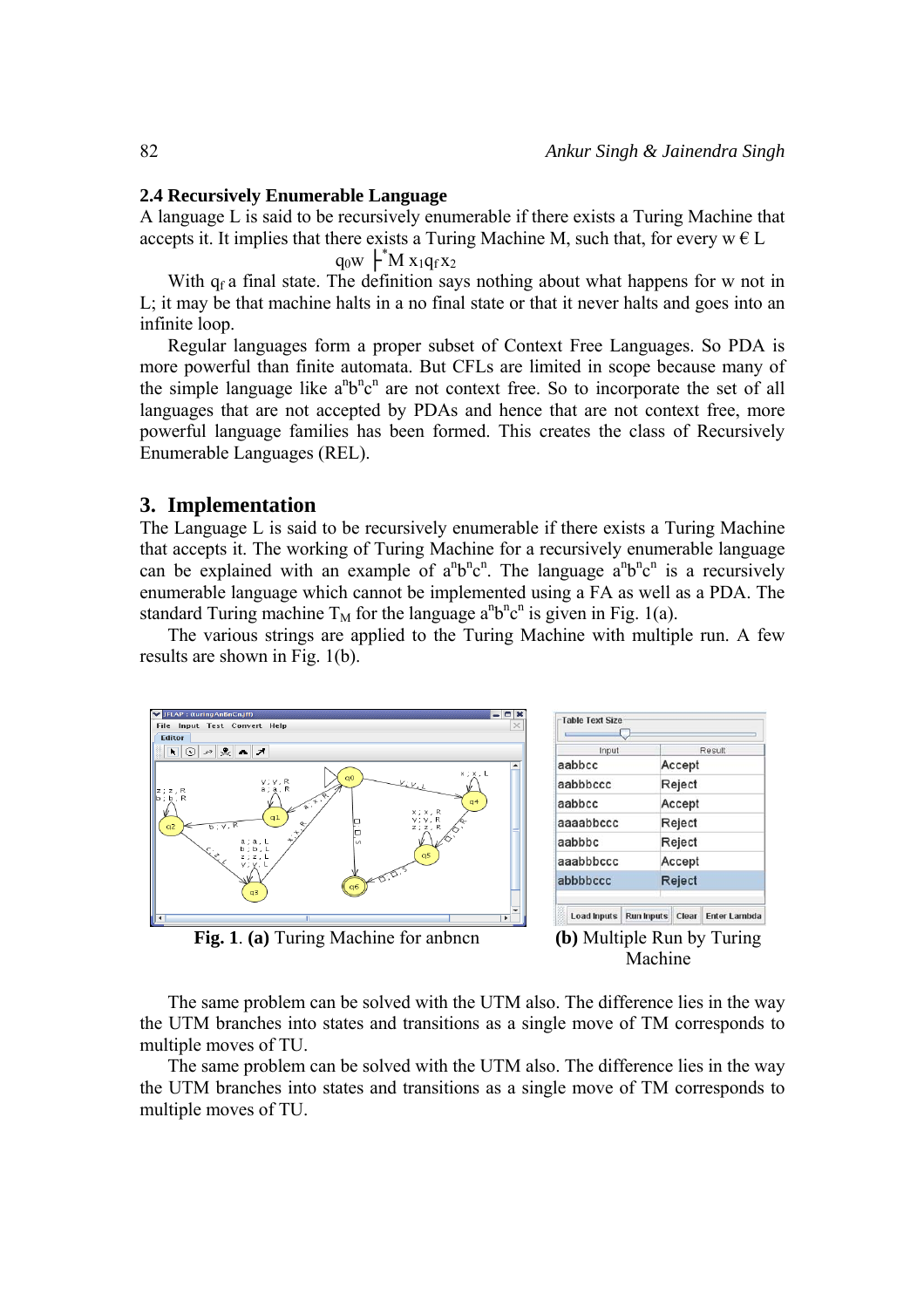#### **2.4 Recursively Enumerable Language**

A language L is said to be recursively enumerable if there exists a Turing Machine that accepts it. It implies that there exists a Turing Machine M, such that, for every  $w \in L$ 

 $q_0w$   $\vdash^* M x_1q_fx_2$ 

With  $q_f$  a final state. The definition says nothing about what happens for w not in L; it may be that machine halts in a no final state or that it never halts and goes into an infinite loop.

Regular languages form a proper subset of Context Free Languages. So PDA is more powerful than finite automata. But CFLs are limited in scope because many of the simple language like  $a^nb^nc^n$  are not context free. So to incorporate the set of all languages that are not accepted by PDAs and hence that are not context free, more powerful language families has been formed. This creates the class of Recursively Enumerable Languages (REL).

#### **3. Implementation**

The Language L is said to be recursively enumerable if there exists a Turing Machine that accepts it. The working of Turing Machine for a recursively enumerable language can be explained with an example of  $a^nb^nc^n$ . The language  $a^nb^nc^n$  is a recursively enumerable language which cannot be implemented using a FA as well as a PDA. The standard Turing machine  $T_M$  for the language  $a^nb^nc^n$  is given in Fig. 1(a).

The various strings are applied to the Turing Machine with multiple run. A few results are shown in Fig. 1(b).



| Input     | Result |
|-----------|--------|
| aabbcc    | Accept |
| aabbbccc  | Reject |
| aabbcc    | Accept |
| aaaabbccc | Reject |
| aabbbc    | Reject |
| aaabbbccc | Accept |
| abbbbccc  | Reject |

**Fig. 1**. (a) Turing Machine for anbncn (b) Multiple Run by Turing



The same problem can be solved with the UTM also. The difference lies in the way the UTM branches into states and transitions as a single move of TM corresponds to multiple moves of TU.

The same problem can be solved with the UTM also. The difference lies in the way the UTM branches into states and transitions as a single move of TM corresponds to multiple moves of TU.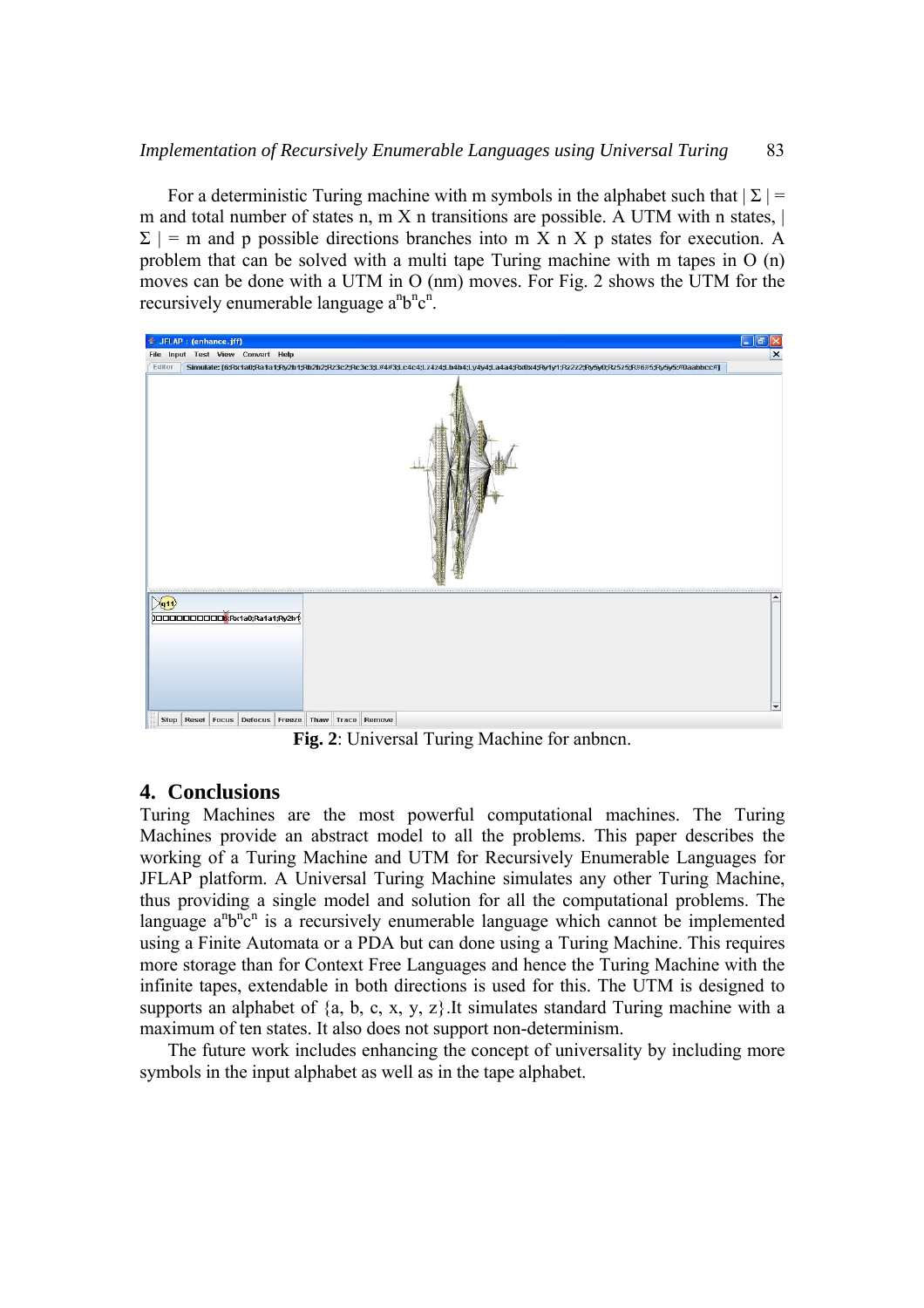For a deterministic Turing machine with m symbols in the alphabet such that  $|\Sigma|$  = m and total number of states n, m  $X$  n transitions are possible. A UTM with n states,  $|$  $\Sigma$  | = m and p possible directions branches into m X n X p states for execution. A problem that can be solved with a multi tape Turing machine with m tapes in O (n) moves can be done with a UTM in O (nm) moves. For Fig. 2 shows the UTM for the recursively enumerable language  $a^nb^nc^n$ .



**Fig. 2**: Universal Turing Machine for anbncn.

# **4. Conclusions**

Turing Machines are the most powerful computational machines. The Turing Machines provide an abstract model to all the problems. This paper describes the working of a Turing Machine and UTM for Recursively Enumerable Languages for JFLAP platform. A Universal Turing Machine simulates any other Turing Machine, thus providing a single model and solution for all the computational problems. The language  $a^n b^n c^n$  is a recursively enumerable language which cannot be implemented using a Finite Automata or a PDA but can done using a Turing Machine. This requires more storage than for Context Free Languages and hence the Turing Machine with the infinite tapes, extendable in both directions is used for this. The UTM is designed to supports an alphabet of  $\{a, b, c, x, y, z\}$ . It simulates standard Turing machine with a maximum of ten states. It also does not support non-determinism.

The future work includes enhancing the concept of universality by including more symbols in the input alphabet as well as in the tape alphabet.